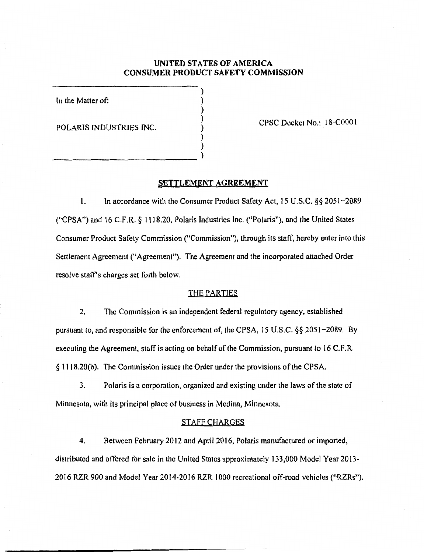# UNITED STATES OF AMERICA CONSUMER PRODUCT SAFETY COMMISSION

) ) ) ) ) )

In the Matter of:

POLARIS INDUSTRIES INC.

)  $_{\text{a}}$ 

CPSC Docket No.: 18-COOO 1

#### SETTLEMENT AGREEMENT

1. In accordance with the Consumer Product Safety Act, 15 U.S.C. §§ 2051-2089 ("CPSA") and 16 C.F.R. § 1118.20, Polaris Industries Inc. ("Polaris"), and the United States Consumer Product Safety Commission ('•Commission"), through its staff, hereby enter into this Settlement Agreement ("Agreement"). The Agreement and the incorporated attached Order resolve staff's charges set forth below.

## THE PARTIES

2. The Commission is an independent federal regulatory agency, established pursuant to, and responsible for the enforcement of, the CPSA, 15 U.S.C. §§ 2051-2089. By executing the Agreement, staff is acting on behalf of the Commission, pursuant to 16 C.F.R. § 1118.20(b). The Commission issues the Order under the provisions of the CPSA.

3. Polaris is a corporation, organized and existing under the laws of the state of Minnesota, with its principal place of business in Medina, Minnesota.

## STAFF CHARGES

4. Between February 2012 and April 2016, Polaris manufactured or imported, distributed and offered for sale in the United States approximately 133,000 Model Year 2013- 2016 RZR 900 and Model Year 2014-2016 RZR 1000 recreational off-road vehicles ("RZRs").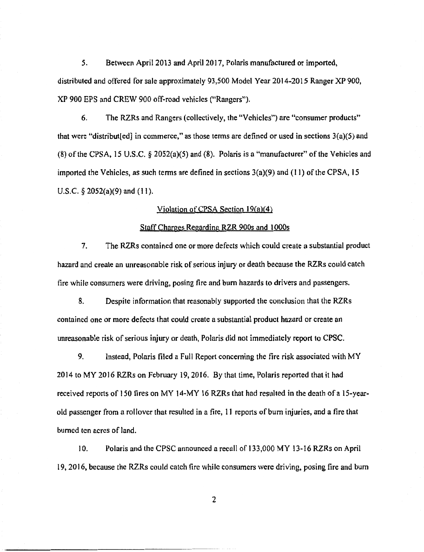*5.* Between April2013 and April2017, Polaris manufactured or imported, distributed and offered for sale approximately 93,500 Model Year 2014-2015 Ranger XP 900, XP 900 EPS and CREW 900 off-road vehicles ("Rangers").

6. The RZRs and Rangers (collectively, the "Vehicles") are "consumer products" that were "distribut[ed] in commerce," as those terms are defined or used in sections 3(a)(5) and (8) ofthe CPSA, 15 U.S.C. § 2052(a)(5) and (8). Polaris is a "manufacturer" of the Vehicles and imported the Vehicles, as such terms are defined in sections  $3(a)(9)$  and  $(11)$  of the CPSA, 15 U.S.C.  $\S$  2052(a)(9) and (11).

#### Violation ofCPSA Section 19(a)(4)

## Staff Charges Regarding RZR 900s and 1 OOOs

7. The RZRs contained one or more defects which could create a substantial product hazard and create an unreasonable risk of serious injury or death because the RZRs could catch fire while consumers were driving, posing fire and bum hazards to drivers and passengers.

8. Despite information that reasonably supported the conclusion that the RZRs contained one or more defects that could create a substantial product hazard or create an unreasonable risk of serious injury or death, Polaris did not immediately report to CPSC.

9. Instead, Polaris filed a Full Report concerning the tire risk associated with MY 2014 to MY 2016 RZRs on February 19, 2016. By that time, Polaris reported that it had received reports of 150 fires on MY 14-MY 16 RZRs that had resulted in the death of a IS-yearold passenger from a rollover that resulted in a fire, 1 1 reports of bum injuries, and a fire that burned ten acres of land.

10. Polaris and the CPSC announced a recall of 133,000 MY 13-16 RZRs on April I 9, 2016, because the RZRs could catch fire while consumers were driving, posing fire and bum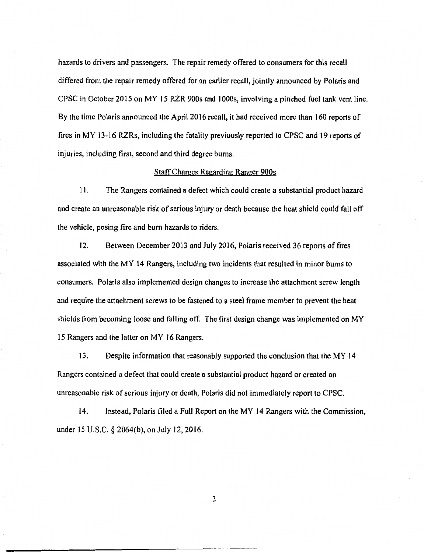hazards to drivers and passengers. The repair remedy offered to consumers for this recall differed from the repair remedy offered for an earlier recall, jointly announced by Polaris and CPSC in October 2015 on MY 15 RZR 900s and I OOOs, involving a pinched fuel tank vent line. By the time Polaris announced the April 2016 recall, it had received more than 160 reports of fires in MY 13-16 RZRs, including the fatality previously reported to CPSC and 19 reports of injuries, including first, second and third degree burns.

#### Staff Charges Regarding Ranger 900s

11. The Rangers contained a defect which could create a substantial product hazard and create an unreasonable risk of serious injury or death because the heat shield could fall off the vehicle, posing fire and bum hazards to riders.

12. Between December 2013 and July 2016, Polaris received 36 reports of fires associated with the MY 14 Rangers, including two incidents that resulted in minor burns to consumers. Polaris also implemented design changes to increase the attachment screw length and require the attachment screws to be fastened to a steel frame member to prevent the heat shields from becoming loose and falling off. *The* first design change was implemented on MY 15 Rangers and the latter on MY 16 Rangers.

13. Despite information that reasonably supported the conclusion that the MY 14 Rangers contained a defect that could create a substantial product hazard or created an unreasonable risk of serious injury or death, Polaris did not immediately report to CPSC.

14. Instead, Polaris tiled a Full Report on the MY 14 Rangers with the Commission, under 15 U.S.C. § 2064(b), on July 12, 2016.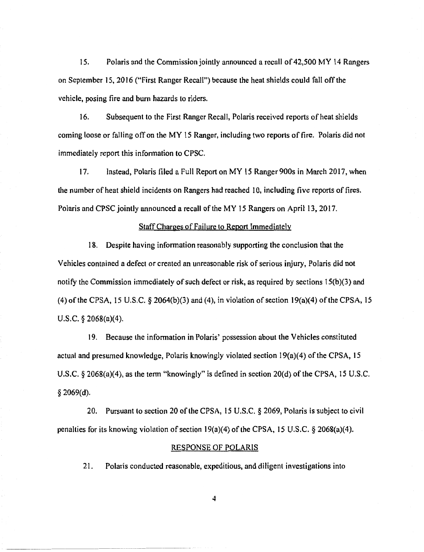15. Polaris and the Commission jointly announced a recall of 42,500 MY 14 Rangers on September IS, 2016 ("First Ranger Recall") because the heat shields could fall off the vehicle, posing fire and bum hazards to riders.

16. Subsequent to the First Ranger Recall, Polaris received reports of heat shields coming loose or falling off on the MY 15 Ranger, including two reports of fire. Polaris did not immediately report this information to CPSC.

17. Instead, Polaris filed a Full Report on MY 15 Ranger 900s in March 2017, when the number of heat shield incidents on Rangers had reached 10, including five reports of fires. Polaris and CPSC jointly announced a recall of the MY 15 Rangers on April 13, 2017.

## Staff Charges of Failure to Report Immediately

18. Despite having information reasonably supporting the conclusion that the Vehicles contained a defect or created an unreasonable risk of serious injury, Polaris did not notify the Commission immediately of such defect or risk, as required by sections  $15(b)(3)$  and (4) of the CPSA, 15 U.S.C.  $\frac{82064(b)(3)}{3}$  and (4), in violation of section 19(a)(4) of the CPSA, 15 U.S.C. § 2068(a)(4).

19. Because the information in Polaris' possession about the Vehicles constituted actual and presumed knowledge, Polaris knowingly violated section  $19(a)(4)$  of the CPSA, 15 U.S.C. § 2068(a)(4), as the term "knowingly" is defined in section 20(d) of the CPSA, 15 U.S.C. § 2069(d).

20. Pursuant to section 20 of the CPSA, 15 U.S.C. § 2069, Polaris is subject to civil penalties for its knowing violation of section  $19(a)(4)$  of the CPSA, 15 U.S.C. § 2068(a)(4).

#### RESPONSE OF POLARIS

21. Polaris conducted reasonable, expeditious, and diligent investigations into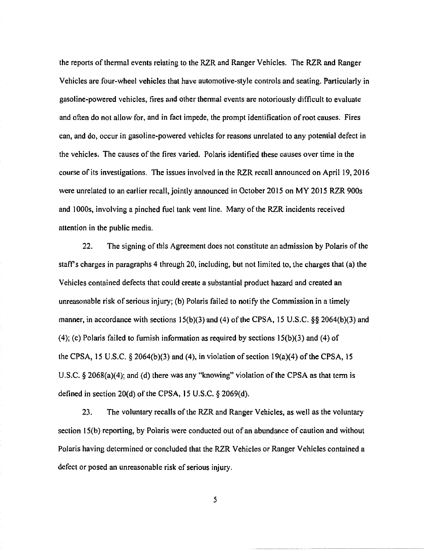the reports of thennal events relating to the RZR and Ranger Vehicles. The RZR and Ranger Vehicles are four-wheel vehicles that have automotive-style controls and seating. Particularly in gasoline-powered vehicles, tires and other thermal events are notoriously difficult to evaluate and often do not allow for, and in fact impede, the prompt identification of root causes. Fires can, and do, occur in gasoline-powered vehicles for reasons unrelated to any potential defect in the vehicles. The causes of the fires varied. Polaris identified these causes over time in the course of its investigations. The issues involved in the RZR recall announced on April 19, 2016 were unrelated to an earlier recall, jointly announced in October 2015 on MY 2015 RZR 900s and 1000s, involving a pinched fuel tank vent line. Many of the RZR incidents received attention in the public media.

22. The signing of this Agreement does not constitute an admission by Polaris of the staff's charges in paragraphs 4 through 20, including, but not limited to, the charges that (a) the Vehicles contained defects that could create a substantial product hazard and created an unreasonable risk of serious injury; (b) Polaris failed to notify the Commission in a timely manner, in accordance with sections  $15(b)(3)$  and (4) of the CPSA, 15 U.S.C. §§ 2064(b)(3) and (4); (c) Polaris failed to furnish information as required by sections  $15(b)(3)$  and (4) of the CPSA, 15 U.S.C.  $\S$  2064(b)(3) and (4), in violation of section 19(a)(4) of the CPSA, 15 U.S.C. § 2068(a)(4); and (d) there was any "knowing" violation of the CPSA as that term is defined in section 20(d) of the CPSA, 15 U.S.C. § 2069(d).

23. The voluntary recalls of the RZR and Ranger Vehicles, as well as the voluntary section 15(b) reporting, by Polaris were conducted out of an abundance of caution and without Polaris having determined or concluded that the RZR Vehicles or Ranger Vehicles contained a defect or posed an unreasonable risk of serious injury.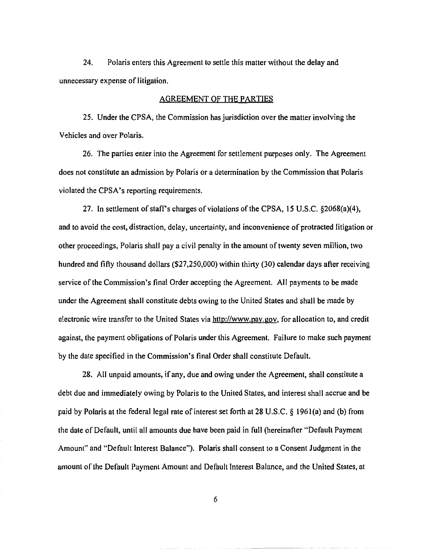24. Polaris enters this Agreement to settle this matter without the delay and unnecessary expense of litigation.

## AGREEMENT OF THE PARTIES

25. Under the CPSA, the Commission has jurisdiction over the matter involving the Vehicles and over Polaris.

26. The parties enter into the Agreement for settlement purposes only. The Agreement does not constitute an admission by Polaris or a determination by the Commission that Polaris violated the CPSA's reporting requirements.

27. In settlement of staff's charges of violations of the CPSA, 15 U.S.C.  $\S 2068(a)(4)$ , and to avoid the cost, distraction, delay, uncertainty, and inconvenience of protracted litigation or other proceedings, Polaris shall pay a civil penalty in the amount of twenty seven million, two hundred and fifty thousand dollars (\$27,250,000) within thirty (30) calendar days after receiving service of the Commission's final Order accepting the Agreement. All payments to be made under the Agreement shall constitute debts owing to the United States and shall be made by electronic wire transfer to the United States via http://www.pay.gov, for allocation to, and credit against, the payment obligations of Polaris under this Agreement. Failure to make such payment by the date specified in the Commission's final Order shall constitute Default.

28. All unpaid amounts, if any, due and owing under the Agreement, shall constitute a debt due and immediately owing by Polaris to the United States, and interest shall accrue and be paid by Polaris at the federal legal rate of interest set forth at 28 U.S.C. § 1961 (a) and (b) from the date of Default, until all amounts due have been paid in full (hereinafter "Default Payment Amount" and "Default Interest Balance"). Polaris shall consent to a Consent Judgment in the amount of the Default Payment Amount and Default Interest Balance, and the United States, at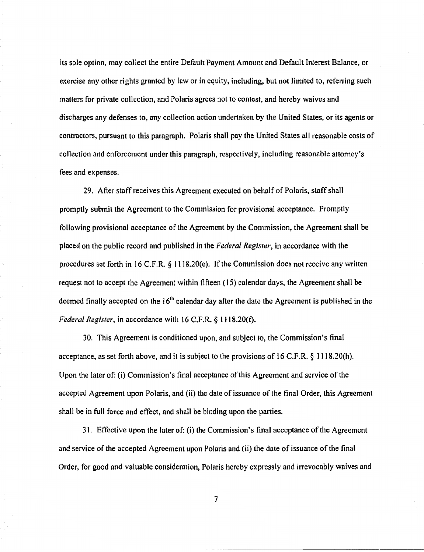its sole option, may collect the entire Default Payment Amount and Default Interest Balance, or exercise any other rights granted by law or in equity, including, but not limited to, referring such matters for private collection, and Polaris agrees not to contest, and hereby waives and discharges any defenses to, any collection action undertaken by the United States, or its agents or contractors, pursuant to this paragraph. Polaris shall pay the United States all reasonable costs of collection and enforcement under this paragraph, respectively, including reasonable attorney's fees and expenses.

29. After staff receives this Agreement executed on behalf of Polaris, staff shall promptly submit the Agreement to the Commission for provisional acceptance. Promptly following provisional acceptance of the Agreement by the Commission, the Agreement shall be placed on the public record and published in the *Federal Register,* in accordance with the procedures set forth in 16 C.F.R. § 1118.20(e). If the Commission does not receive any written request not to accept the Agreement within fifteen (15) calendar days, the Agreement shall be deemed finally accepted on the  $16<sup>th</sup>$  calendar day after the date the Agreement is published in the *Federal Register,* in accordance with 16 C.F.R. § 1118.20(f).

30. This Agreement is conditioned upon, and subject to, the Commission's final acceptance, as set forth above, and it is subject to the provisions of 16 C.F.R.  $\S$  1118.20(h). Upon the later of: (i) Commission's final acceptance of this Agreement and service of the accepted Agreement upon Polaris, and (ii) the date of issuance of the final Order, this Agreement shall be in full force and effect, and shall be binding upon the parties.

31. Effective upon the later of: (i) the Commission's final acceptance of the Agreement and service of the accepted Agreement upon Polaris and (ii) the date of issuance of the final Order, for good and valuable consideration, Polaris hereby expressly and irrevocably waives and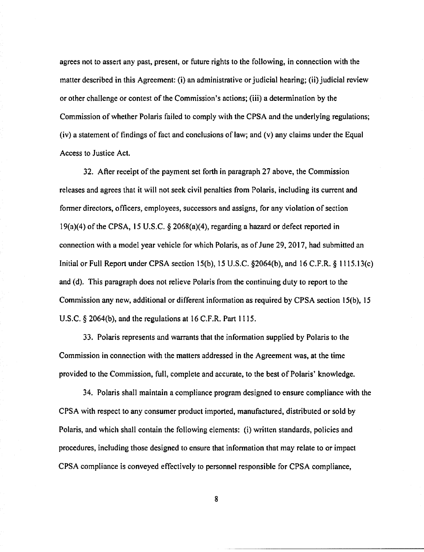agrees not to assert any past, present, or future rights to the following, in connection with the matter described in this Agreement: (i) an administrative or judicial hearing; (ii) judicial review or other challenge or contest of the Commission's actions; (iii) a determination by the Commission of whether Polaris failed to comply with the CPSA and the underlying regulations; (iv) a statement of findings of fact and conclusions of law; and (v) any claims under the Equal Access to Justice Act.

32. After receipt of the payment set forth in paragraph 27 above, the Commission releases and agrees that it will not seek civil penalties from Polaris, including its current and former directors, officers, employees, successors and assigns, for any violation of section 19(a)(4) of the CPSA, 15 U.S.C. § 2068(a)(4), regarding a hazard or defect reported in connection with a model year vehicle for which Polaris, as of June 29, 2017, had submitted an Initial or Full Report under CPSA section 15(b), 15 U.S.C. §2064(b), and 16 C.F.R. § 1115.13(c) and (d). This paragraph does not relieve Polaris from the continuing duty to report to the Commission any new, additional or different information as required by CPSA section 15(b), 15 U.S.C. § 2064(b), and the regulations at 16 C.F.R. Part 1115.

33. Polaris represents and warrants that the information supplied by Polaris to the Commission in connection with the matters addressed in the Agreement was, at the time provided to the Commission, full, complete and accurate, to the best of Polaris' knowledge.

34. Polaris shall maintain a compliance program designed to ensure compliance with the CPSA with respect to any consumer product imported, manufactured, distributed or sold by Polaris, and which shall contain the following elements: (i) written standards, policies and procedures, including those designed to ensure that information that may relate to or impact CPSA compliance is conveyed effectively to personnel responsible for CPSA compliance,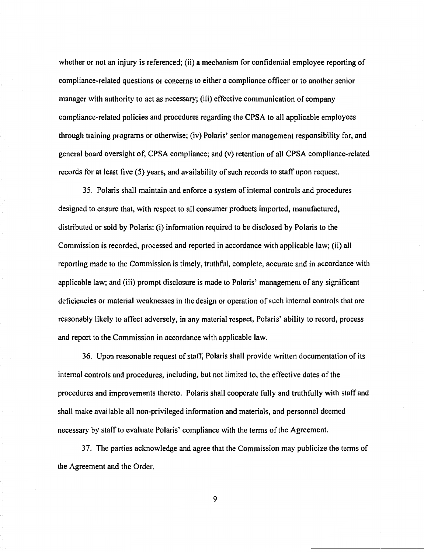whether or not an injury is referenced; (ii) a mechanism for confidential employee reporting of compliance-related questions or concerns to either a compliance officer or to another senior manager with authority to act as necessary; (iii) effective communication of company compliance-related policies and procedures regarding the CPSA to all applicable employees through training programs or otherwise; (iv) Polaris' senior management responsibility for, and general board oversight of, CPSA compliance; and (v) retention of all CPSA compliance-related records for at least five (5) years, and availability of such records to staff upon request.

35. Polaris shall maintain and enforce a system of internal controls and procedures designed to ensure that, with respect to all consumer products imported, manufactured, distributed or sold by Polaris: (i) information required to be disclosed by Polaris to the Commission is recorded, processed and reported in accordance with applicable law; (ii) all reporting made to the Commission is timely, truthful, complete, accurate and in accordance with applicable law; and (iii) prompt disclosure is made to Polaris' management of any significant deficiencies or material weaknesses in the design or operation of such internal controls that are reasonably likely to affect adversely, in any material respect, Polaris' ability to record, process and report to the Commission in accordance with applicable law.

36. Upon reasonable request of staff, Polaris shall provide written documentation of its internal controls and procedures, including, but not limited to, the effective dates of the procedures and improvements thereto. Polaris shall cooperate fully and truthfully with staff and shall make available all non-privileged infonnation and materials, and personnel deemed necessary by staff to evaluate Polaris' compliance with the terms of the Agreement.

37. The parties acknowledge and agree that the Commission may publicize the terms of the Agreement and the Order.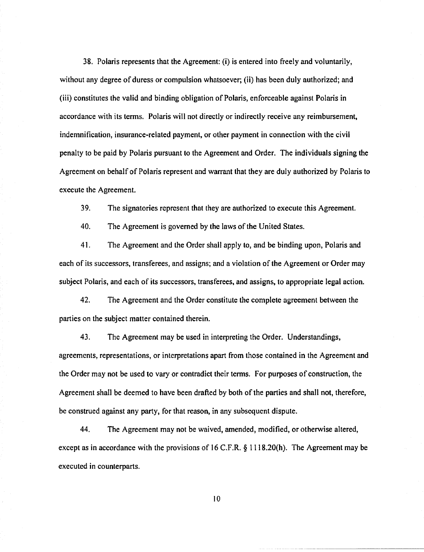38. Polaris represents that the Agreement: (i) is entered into freely and voluntarily, without any degree of duress or compulsion whatsoever; (ii) has been duly authorized; and (iii) constitutes the valid and binding obligation of Polaris, enforceable against Polaris in accordance with its terms. Polaris will not directly or indirectly receive any reimbursement, indemnification, insurance-related payment, or other payment in connection with the civil penalty to be paid by Polaris pursuant to the Agreement and Order. The individuals signing the Agreement on behalf of Polaris represent and warrant that they are duly authorized by Polaris to execute the Agreement.

39. The signatories represent that they are authorized to execute this Agreement.

40. The Agreement is governed by the laws of the United States.

41. The Agreement and the Order shall apply to, and be binding upon, Polaris and each of its successors, transferees, and assigns; and a violation of the Agreement or Order may subject Polaris, and each of its successors, transferees, and assigns, to appropriate legal action.

42. The Agreement and the Order constitute the complete agreement between the parties on the subject matter contained therein.

43. The Agreement may be used in interpreting the Order. Understandings, agreements, representations, or interpretations apart from those contained in the Agreement and the Order may not be used to vary or contradict their terms. For purposes of construction, the Agreement shall be deemed to have been drafted by both of the parties and shall not, therefore, be construed against any party, for that reason, in any subsequent dispute.

44. The Agreement may not be waived, amended, modified, or otherwise altered, except as in accordance with the provisions of 16 C.F.R. § 1118.20(h). The Agreement may be executed in counterparts.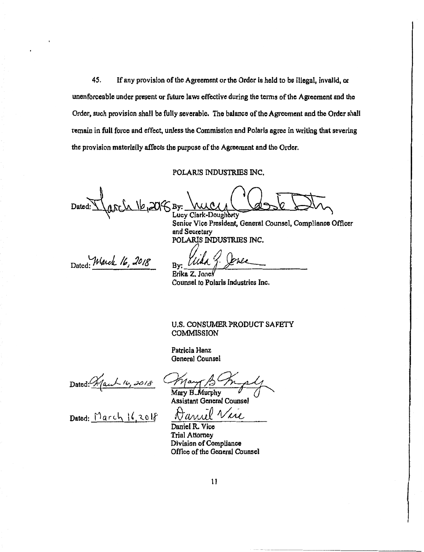45. If any provision of the Agreement or the Order is held to be illegal, invalid, or unenforceable under present or future laws effective during the terms of the Agreement and the Order, such provision shall be fully severable. The balance of the Agreement and the Order shall remain in full force and effect, unless the Commission and Polaris agree in writing that severing the provision materially affects the purpose of the Agreement and the Order.

#### POLARIS INDUSTRIES INC.

 $Dated: \frac{1}{\sqrt{(\frac{C_1}{B_1})^2}}$ By: WWW ASSINGS INC.  $\Xi\overline{\omega_{\gamma}}$ 

Vice President, General Counsel, Compliance Officer and Secretary<br>POLARIS INDUSTRIES INC.

Dated: Warch 16, 2018

Erika Z. Jones

Counsel to Polaris Industries Inc.

U.S. CONSUMER PRODUCT SAFETY **COMMISSION** 

Patricia Hanz General Counsel

Dated: *Mauh 16, 2018* Mary B Murphy<br>Mary B Murphy<br>Assistant Genera

Dated: March 16,2018

Assistant General Counsel

Daniel R. Vice Trial Attorney Division of Compliance Office of the General Counsel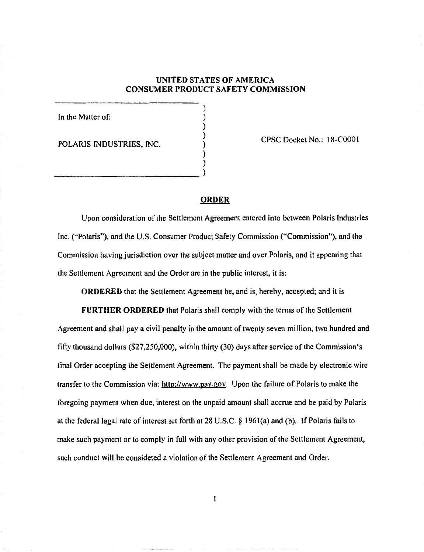## UNITED STATES OF AMERICA CONSUMER PRODUCT SAFETY COMMISSION

) ) ) ) ) )

In the Matter of:

POLARIS INDUSTRIES, INC.

) and the contract of  $\overline{\mathcal{L}}$ 

CPSC Docket No.: 18-COOOl

# **ORDER**

Upon consideration of the Settlement Agreement entered into between Polaris Industries Inc. ("Polaris"), and the U.S. Consumer Product Safety Commission ("Commission"), and the Commission having jurisdiction over the subject matter and over Polaris, and it appearing that the Settlement Agreement and the Order are in the public interest, it is:

ORDERED that the Settlement Agreement be, and is, hereby, accepted; and it is

FURTHER ORDERED that Polaris shall comply with the terms of the Settlement Agreement and shall pay a civil penalty in the amount of twenty seven million, two hundred and fifty thousand dollars (\$27,250,000), within thirty (30) days after service of the Commission's final Order accepting the Settlement Agreement. The payment shall be made by electronic wire transfer to the Commission via: http://www.pay.gov. Upon the failure of Polaris to make the foregoing payment when due, interest on the unpaid amount shall accrue and be paid by Polaris at the federal legal rate of interest set forth at 28 U.S.C. § 196l(a) and (b). If Polaris fails to make such payment or to comply in full with any other provision of the Settlement Agreement, such conduct will be considered a violation of the Settlement Agreement and Order.

l